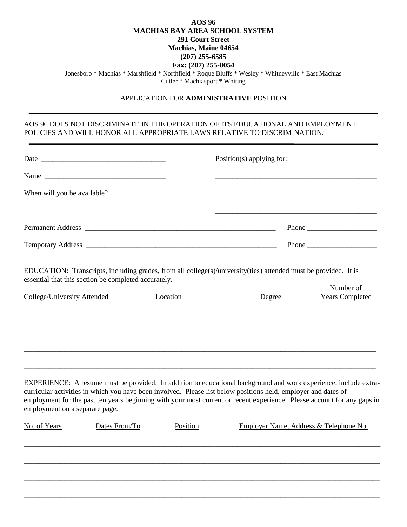### **AOS 96 MACHIAS BAY AREA SCHOOL SYSTEM 291 Court Street Machias, Maine 04654 (207) 255-6585 Fax: (207) 255-8054** Jonesboro \* Machias \* Marshfield \* Northfield \* Roque Bluffs \* Wesley \* Whitneyville \* East Machias Cutler \* Machiasport \* Whiting

#### APPLICATION FOR **ADMINISTRATIVE** POSITION

# AOS 96 DOES NOT DISCRIMINATE IN THE OPERATION OF ITS EDUCATIONAL AND EMPLOYMENT POLICIES AND WILL HONOR ALL APPROPRIATE LAWS RELATIVE TO DISCRIMINATION.

|                                    |                                                      |          | Position(s) applying for:                                                                                                                                                                                                                                                                                                                                            |                                                                                            |  |
|------------------------------------|------------------------------------------------------|----------|----------------------------------------------------------------------------------------------------------------------------------------------------------------------------------------------------------------------------------------------------------------------------------------------------------------------------------------------------------------------|--------------------------------------------------------------------------------------------|--|
|                                    | Name                                                 |          |                                                                                                                                                                                                                                                                                                                                                                      |                                                                                            |  |
|                                    |                                                      |          |                                                                                                                                                                                                                                                                                                                                                                      |                                                                                            |  |
|                                    |                                                      |          | <u> 1989 - Johann Stoff, deutscher Stoff, der Stoff, der Stoff, der Stoff, der Stoff, der Stoff, der Stoff, der S</u>                                                                                                                                                                                                                                                | Phone $\frac{1}{\sqrt{1-\frac{1}{2}}}\left\vert \frac{1}{\sqrt{1-\frac{1}{2}}}\right\vert$ |  |
|                                    |                                                      |          |                                                                                                                                                                                                                                                                                                                                                                      |                                                                                            |  |
|                                    | essential that this section be completed accurately. |          | EDUCATION: Transcripts, including grades, from all college(s)/university(ties) attended must be provided. It is                                                                                                                                                                                                                                                      | Number of                                                                                  |  |
| <b>College/University Attended</b> |                                                      | Location | Degree                                                                                                                                                                                                                                                                                                                                                               | <b>Years Completed</b>                                                                     |  |
| employment on a separate page.     |                                                      |          | <b>EXPERIENCE:</b> A resume must be provided. In addition to educational background and work experience, include extra-<br>curricular activities in which you have been involved. Please list below positions held, employer and dates of<br>employment for the past ten years beginning with your most current or recent experience. Please account for any gaps in |                                                                                            |  |
| No. of Years                       | Dates From/To                                        | Position | Employer Name, Address & Telephone No.                                                                                                                                                                                                                                                                                                                               |                                                                                            |  |
|                                    |                                                      |          |                                                                                                                                                                                                                                                                                                                                                                      |                                                                                            |  |
|                                    |                                                      |          |                                                                                                                                                                                                                                                                                                                                                                      |                                                                                            |  |
|                                    |                                                      |          |                                                                                                                                                                                                                                                                                                                                                                      |                                                                                            |  |
|                                    |                                                      |          |                                                                                                                                                                                                                                                                                                                                                                      |                                                                                            |  |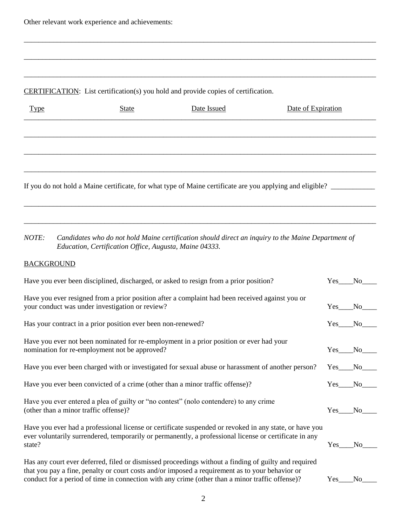# CERTIFICATION: List certification(s) you hold and provide copies of certification.

| <b>Type</b>                                                                                               | <b>State</b> | Date Issued | Date of Expiration |  |  |
|-----------------------------------------------------------------------------------------------------------|--------------|-------------|--------------------|--|--|
|                                                                                                           |              |             |                    |  |  |
|                                                                                                           |              |             |                    |  |  |
|                                                                                                           |              |             |                    |  |  |
| If you do not hold a Maine certificate, for what type of Maine certificate are you applying and eligible? |              |             |                    |  |  |

\_\_\_\_\_\_\_\_\_\_\_\_\_\_\_\_\_\_\_\_\_\_\_\_\_\_\_\_\_\_\_\_\_\_\_\_\_\_\_\_\_\_\_\_\_\_\_\_\_\_\_\_\_\_\_\_\_\_\_\_\_\_\_\_\_\_\_\_\_\_\_\_\_\_\_\_\_\_\_\_\_\_\_\_\_\_\_\_\_\_\_\_\_\_\_\_

\_\_\_\_\_\_\_\_\_\_\_\_\_\_\_\_\_\_\_\_\_\_\_\_\_\_\_\_\_\_\_\_\_\_\_\_\_\_\_\_\_\_\_\_\_\_\_\_\_\_\_\_\_\_\_\_\_\_\_\_\_\_\_\_\_\_\_\_\_\_\_\_\_\_\_\_\_\_\_\_\_\_\_\_\_\_\_\_\_\_\_\_\_\_\_\_

\_\_\_\_\_\_\_\_\_\_\_\_\_\_\_\_\_\_\_\_\_\_\_\_\_\_\_\_\_\_\_\_\_\_\_\_\_\_\_\_\_\_\_\_\_\_\_\_\_\_\_\_\_\_\_\_\_\_\_\_\_\_\_\_\_\_\_\_\_\_\_\_\_\_\_\_\_\_\_\_\_\_\_\_\_\_\_\_\_\_\_\_\_\_\_\_

\_\_\_\_\_\_\_\_\_\_\_\_\_\_\_\_\_\_\_\_\_\_\_\_\_\_\_\_\_\_\_\_\_\_\_\_\_\_\_\_\_\_\_\_\_\_\_\_\_\_\_\_\_\_\_\_\_\_\_\_\_\_\_\_\_\_\_\_\_\_\_\_\_\_\_\_\_\_\_\_\_\_\_\_\_\_\_\_\_\_\_\_\_\_\_\_

\_\_\_\_\_\_\_\_\_\_\_\_\_\_\_\_\_\_\_\_\_\_\_\_\_\_\_\_\_\_\_\_\_\_\_\_\_\_\_\_\_\_\_\_\_\_\_\_\_\_\_\_\_\_\_\_\_\_\_\_\_\_\_\_\_\_\_\_\_\_\_\_\_\_\_\_\_\_\_\_\_\_\_\_\_\_\_\_\_\_\_\_\_\_\_\_

*NOTE: Candidates who do not hold Maine certification should direct an inquiry to the Maine Department of Education, Certification Office, Augusta, Maine 04333.*

# **BACKGROUND**

| Have you ever been disciplined, discharged, or asked to resign from a prior position?                                                                                                                                                                                                                      | $Yes$ <sub>__</sub> | N <sub>0</sub> |
|------------------------------------------------------------------------------------------------------------------------------------------------------------------------------------------------------------------------------------------------------------------------------------------------------------|---------------------|----------------|
| Have you ever resigned from a prior position after a complaint had been received against you or<br>your conduct was under investigation or review?                                                                                                                                                         | Yes                 | No.            |
| Has your contract in a prior position ever been non-renewed?                                                                                                                                                                                                                                               | Yes No              |                |
| Have you ever not been nominated for re-employment in a prior position or ever had your<br>nomination for re-employment not be approved?                                                                                                                                                                   | Yes                 | No.            |
| Have you ever been charged with or investigated for sexual abuse or harassment of another person?                                                                                                                                                                                                          | Yes                 | No.            |
| Have you ever been convicted of a crime (other than a minor traffic offense)?                                                                                                                                                                                                                              | Yes                 | N <sub>0</sub> |
| Have you ever entered a plea of guilty or "no contest" (not contendere) to any crime<br>(other than a minor traffic offense)?                                                                                                                                                                              | <b>Yes</b>          | N <sub>0</sub> |
| Have you ever had a professional license or certificate suspended or revoked in any state, or have you<br>ever voluntarily surrendered, temporarily or permanently, a professional license or certificate in any<br>state?                                                                                 | Yes.                | No             |
| Has any court ever deferred, filed or dismissed proceedings without a finding of guilty and required<br>that you pay a fine, penalty or court costs and/or imposed a requirement as to your behavior or<br>conduct for a period of time in connection with any crime (other than a minor traffic offense)? | Yes                 | N <sub>0</sub> |